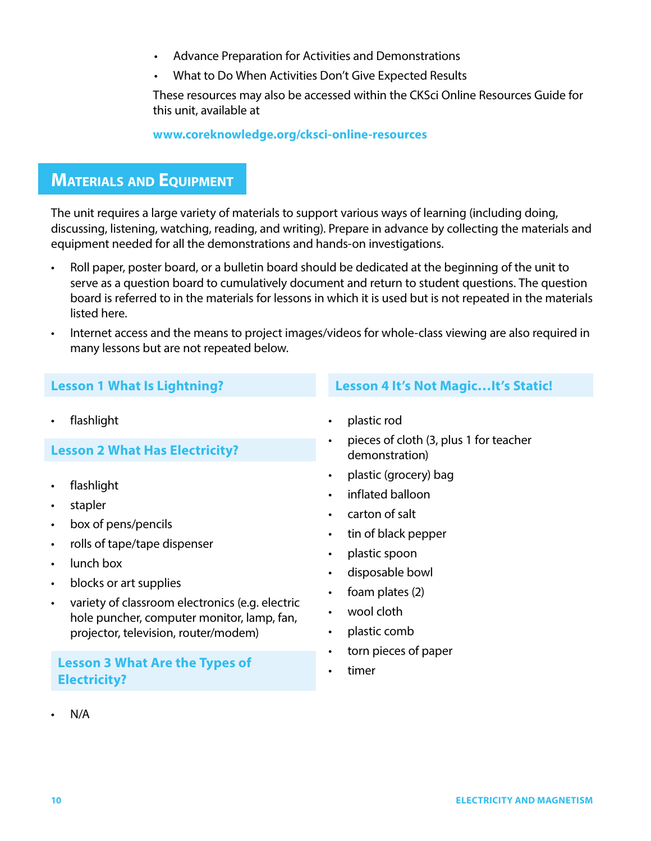- Advance Preparation for Activities and Demonstrations
- What to Do When Activities Don't Give Expected Results

These resources may also be accessed within the CKSci Online Resources Guide for this unit, available at

**www.coreknowledge.org/cksci-online-resources**

# **MATERIALS AND EQUIPMENT**

The unit requires a large variety of materials to support various ways of learning (including doing, discussing, listening, watching, reading, and writing). Prepare in advance by collecting the materials and equipment needed for all the demonstrations and hands-on investigations.

- Roll paper, poster board, or a bulletin board should be dedicated at the beginning of the unit to serve as a question board to cumulatively document and return to student questions. The question board is referred to in the materials for lessons in which it is used but is not repeated in the materials listed here.
- Internet access and the means to project images/videos for whole-class viewing are also required in many lessons but are not repeated below.

# **Lesson 1 What Is Lightning?**

• flashlight

# **Lesson 2 What Has Electricity?**

- flashlight
- stapler
- box of pens/pencils
- rolls of tape/tape dispenser
- lunch box
- blocks or art supplies
- variety of classroom electronics (e.g. electric hole puncher, computer monitor, lamp, fan, projector, television, router/modem)

## **Lesson 3 What Are the Types of Electricity?**

- plastic rod
- pieces of cloth (3, plus 1 for teacher demonstration)

**Lesson 4 It's Not Magic…It's Static!** 

- plastic (grocery) bag
- inflated balloon
- carton of salt
- tin of black pepper
- plastic spoon
- disposable bowl
- foam plates (2)
- wool cloth
- plastic comb
- torn pieces of paper
- timer

• N/A